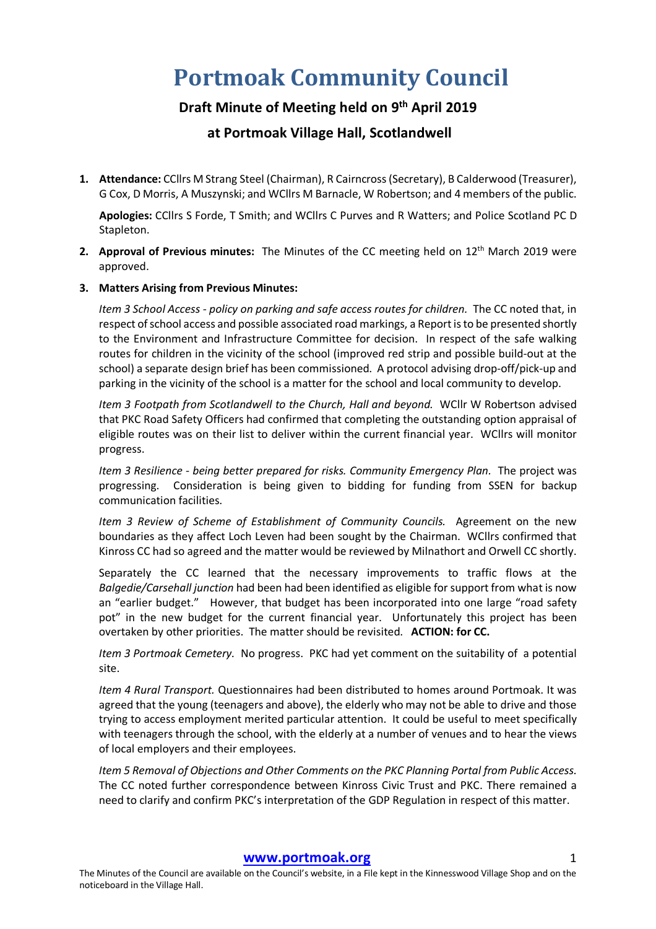# **Portmoak Community Council**

## **Draft Minute of Meeting held on 9th April 2019**

## **at Portmoak Village Hall, Scotlandwell**

**1. Attendance:** CCllrs M Strang Steel (Chairman), R Cairncross (Secretary), B Calderwood (Treasurer), G Cox, D Morris, A Muszynski; and WCllrs M Barnacle, W Robertson; and 4 members of the public.

**Apologies:** CCllrs S Forde, T Smith; and WCllrs C Purves and R Watters; and Police Scotland PC D Stapleton.

**2. Approval of Previous minutes:** The Minutes of the CC meeting held on 12<sup>th</sup> March 2019 were approved.

#### **3. Matters Arising from Previous Minutes:**

*Item 3 School Access - policy on parking and safe access routes for children.* The CC noted that, in respect of school access and possible associated road markings, a Report is to be presented shortly to the Environment and Infrastructure Committee for decision. In respect of the safe walking routes for children in the vicinity of the school (improved red strip and possible build-out at the school) a separate design brief has been commissioned. A protocol advising drop-off/pick-up and parking in the vicinity of the school is a matter for the school and local community to develop.

*Item 3 Footpath from Scotlandwell to the Church, Hall and beyond.* WCllr W Robertson advised that PKC Road Safety Officers had confirmed that completing the outstanding option appraisal of eligible routes was on their list to deliver within the current financial year. WCllrs will monitor progress.

*Item 3 Resilience - being better prepared for risks. Community Emergency Plan.* The project was progressing. Consideration is being given to bidding for funding from SSEN for backup communication facilities.

*Item 3 Review of Scheme of Establishment of Community Councils.* Agreement on the new boundaries as they affect Loch Leven had been sought by the Chairman. WCllrs confirmed that Kinross CC had so agreed and the matter would be reviewed by Milnathort and Orwell CC shortly.

Separately the CC learned that the necessary improvements to traffic flows at the *Balgedie/Carsehall junction* had been had been identified as eligible for support from what is now an "earlier budget." However, that budget has been incorporated into one large "road safety pot" in the new budget for the current financial year. Unfortunately this project has been overtaken by other priorities. The matter should be revisited. **ACTION: for CC.**

*Item 3 Portmoak Cemetery.* No progress. PKC had yet comment on the suitability of a potential site.

*Item 4 Rural Transport.* Questionnaires had been distributed to homes around Portmoak. It was agreed that the young (teenagers and above), the elderly who may not be able to drive and those trying to access employment merited particular attention. It could be useful to meet specifically with teenagers through the school, with the elderly at a number of venues and to hear the views of local employers and their employees.

*Item 5 Removal of Objections and Other Comments on the PKC Planning Portal from Public Access.*  The CC noted further correspondence between Kinross Civic Trust and PKC. There remained a need to clarify and confirm PKC's interpretation of the GDP Regulation in respect of this matter.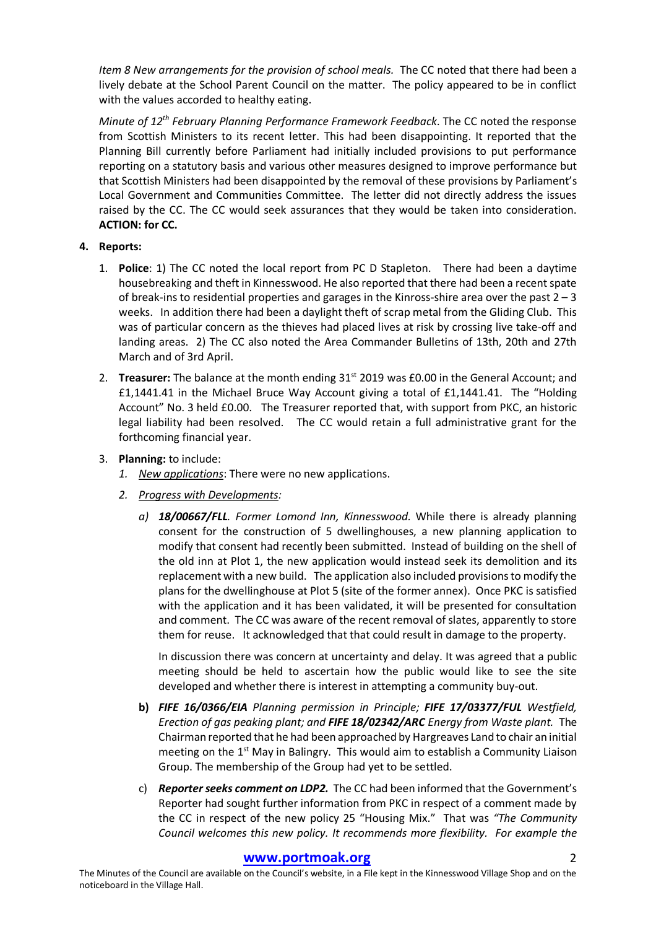*Item 8 New arrangements for the provision of school meals.* The CC noted that there had been a lively debate at the School Parent Council on the matter. The policy appeared to be in conflict with the values accorded to healthy eating.

*Minute of 12th February Planning Performance Framework Feedback*. The CC noted the response from Scottish Ministers to its recent letter. This had been disappointing. It reported that the Planning Bill currently before Parliament had initially included provisions to put performance reporting on a statutory basis and various other measures designed to improve performance but that Scottish Ministers had been disappointed by the removal of these provisions by Parliament's Local Government and Communities Committee. The letter did not directly address the issues raised by the CC. The CC would seek assurances that they would be taken into consideration. **ACTION: for CC.**

### **4. Reports:**

- 1. **Police**: 1) The CC noted the local report from PC D Stapleton. There had been a daytime housebreaking and theft in Kinnesswood. He also reported that there had been a recent spate of break-ins to residential properties and garages in the Kinross-shire area over the past  $2 - 3$ weeks. In addition there had been a daylight theft of scrap metal from the Gliding Club. This was of particular concern as the thieves had placed lives at risk by crossing live take-off and landing areas. 2) The CC also noted the Area Commander Bulletins of 13th, 20th and 27th March and of 3rd April.
- 2. **Treasurer:** The balance at the month ending 31<sup>st</sup> 2019 was £0.00 in the General Account; and £1,1441.41 in the Michael Bruce Way Account giving a total of £1,1441.41. The "Holding Account" No. 3 held £0.00. The Treasurer reported that, with support from PKC, an historic legal liability had been resolved. The CC would retain a full administrative grant for the forthcoming financial year.
- 3. **Planning:** to include:
	- *1. New applications*: There were no new applications.
	- *2. Progress with Developments:*
		- *a) 18/00667/FLL. Former Lomond Inn, Kinnesswood.* While there is already planning consent for the construction of 5 dwellinghouses, a new planning application to modify that consent had recently been submitted. Instead of building on the shell of the old inn at Plot 1, the new application would instead seek its demolition and its replacement with a new build. The application also included provisions to modify the plans for the dwellinghouse at Plot 5 (site of the former annex). Once PKC is satisfied with the application and it has been validated, it will be presented for consultation and comment. The CC was aware of the recent removal of slates, apparently to store them for reuse. It acknowledged that that could result in damage to the property.

In discussion there was concern at uncertainty and delay. It was agreed that a public meeting should be held to ascertain how the public would like to see the site developed and whether there is interest in attempting a community buy-out.

- **b)** *FIFE 16/0366/EIA Planning permission in Principle; FIFE 17/03377/FUL Westfield, Erection of gas peaking plant; and FIFE 18/02342/ARC Energy from Waste plant.* The Chairman reported that he had been approached by Hargreaves Land to chair an initial meeting on the 1<sup>st</sup> May in Balingry. This would aim to establish a Community Liaison Group. The membership of the Group had yet to be settled.
- c) **Reporter seeks comment on LDP2.** The CC had been informed that the Government's Reporter had sought further information from PKC in respect of a comment made by the CC in respect of the new policy 25 "Housing Mix." That was *"The Community Council welcomes this new policy. It recommends more flexibility. For example the*

#### **www.portmoak.org** 2